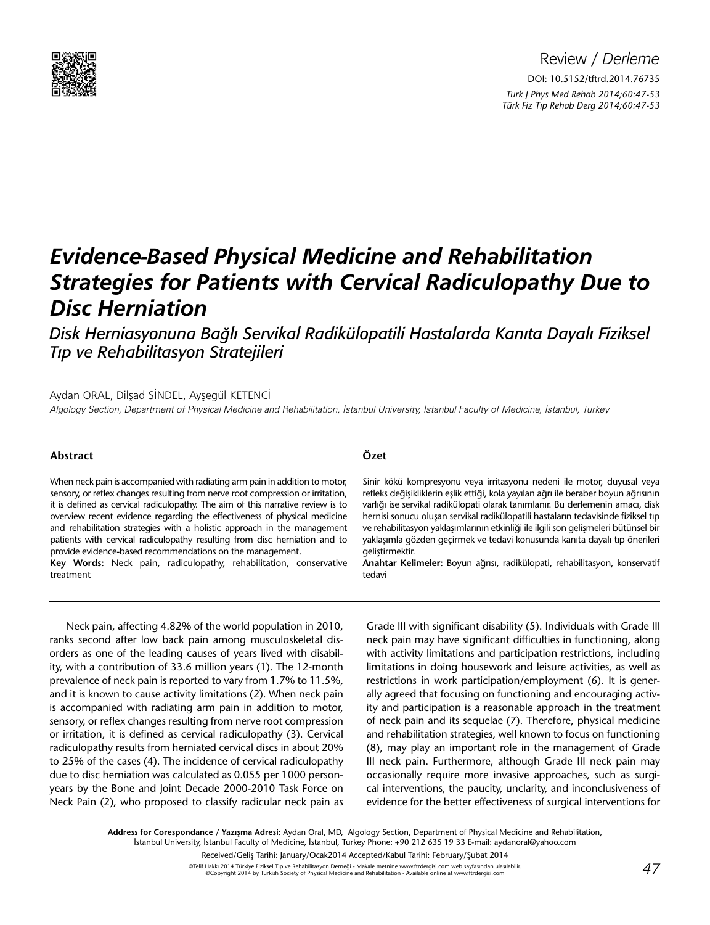

# *Evidence-Based Physical Medicine and Rehabilitation Strategies for Patients with Cervical Radiculopathy Due to Disc Herniation*

*Disk Herniasyonuna Bağlı Servikal Radikülopatili Hastalarda Kanıta Dayalı Fiziksel Tıp ve Rehabilitasyon Stratejileri*

## Aydan ORAL, Dilşad SİNDEL, Ayşegül KETENCİ

Algology Section, Department of Physical Medicine and Rehabilitation, İstanbul University, İstanbul Faculty of Medicine, İstanbul, Turkey

## **Abstract**

When neck pain is accompanied with radiating arm pain in addition to motor, sensory, or reflex changes resulting from nerve root compression or irritation, it is defined as cervical radiculopathy. The aim of this narrative review is to overview recent evidence regarding the effectiveness of physical medicine and rehabilitation strategies with a holistic approach in the management patients with cervical radiculopathy resulting from disc herniation and to provide evidence-based recommendations on the management.

**Key Words:** Neck pain, radiculopathy, rehabilitation, conservative treatment

# **Özet**

Sinir kökü kompresyonu veya irritasyonu nedeni ile motor, duyusal veya refleks değişikliklerin eşlik ettiği, kola yayılan ağrı ile beraber boyun ağrısının varlığı ise servikal radikülopati olarak tanımlanır. Bu derlemenin amacı, disk hernisi sonucu oluşan servikal radikülopatili hastaların tedavisinde fiziksel tıp ve rehabilitasyon yaklaşımlarının etkinliği ile ilgili son gelişmeleri bütünsel bir yaklaşımla gözden geçirmek ve tedavi konusunda kanıta dayalı tıp önerileri geliştirmektir.

**Anahtar Kelimeler:** Boyun ağrısı, radikülopati, rehabilitasyon, konservatif tedavi

Neck pain, affecting 4.82% of the world population in 2010, ranks second after low back pain among musculoskeletal disorders as one of the leading causes of years lived with disability, with a contribution of 33.6 million years (1). The 12-month prevalence of neck pain is reported to vary from 1.7% to 11.5%, and it is known to cause activity limitations (2). When neck pain is accompanied with radiating arm pain in addition to motor, sensory, or reflex changes resulting from nerve root compression or irritation, it is defined as cervical radiculopathy (3). Cervical radiculopathy results from herniated cervical discs in about 20% to 25% of the cases (4). The incidence of cervical radiculopathy due to disc herniation was calculated as 0.055 per 1000 personyears by the Bone and Joint Decade 2000-2010 Task Force on Neck Pain (2), who proposed to classify radicular neck pain as

Grade III with significant disability (5). Individuals with Grade III neck pain may have significant difficulties in functioning, along with activity limitations and participation restrictions, including limitations in doing housework and leisure activities, as well as restrictions in work participation/employment (6). It is generally agreed that focusing on functioning and encouraging activity and participation is a reasonable approach in the treatment of neck pain and its sequelae (7). Therefore, physical medicine and rehabilitation strategies, well known to focus on functioning (8), may play an important role in the management of Grade III neck pain. Furthermore, although Grade III neck pain may occasionally require more invasive approaches, such as surgical interventions, the paucity, unclarity, and inconclusiveness of evidence for the better effectiveness of surgical interventions for

**Address for Corespondance / Yazışma Adresi:** Aydan Oral, MD, Algology Section, Department of Physical Medicine and Rehabilitation, İstanbul University, İstanbul Faculty of Medicine, İstanbul, Turkey Phone: +90 212 635 19 33 E-mail: aydanoral@yahoo.com

Received/Geliş Tarihi: January/Ocak2014 Accepted/Kabul Tarihi: February/Şubat 2014

©Telif Hakkı 2014 Türkiye Fiziksel Tıp ve Rehabilitasyon Derneği - Makale metnine www.ftrdergisi.com web sayfasından ulaşılabilir.<br>©Copyright 2014 by Turkish Society of Physical Medicine and Rehabilitation - Available onl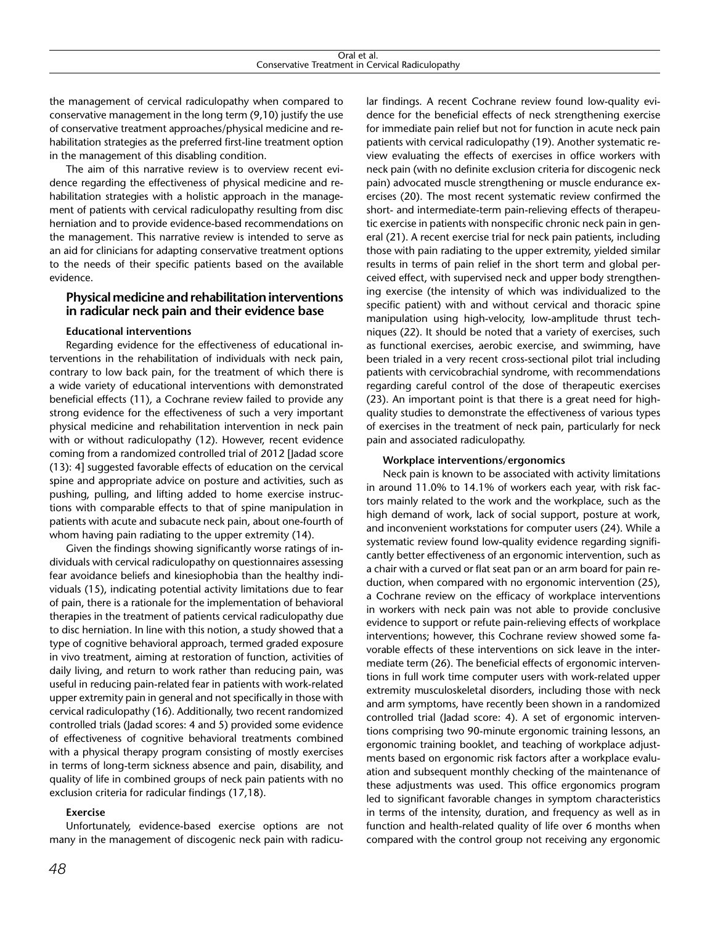the management of cervical radiculopathy when compared to conservative management in the long term (9,10) justify the use of conservative treatment approaches/physical medicine and rehabilitation strategies as the preferred first-line treatment option in the management of this disabling condition.

The aim of this narrative review is to overview recent evidence regarding the effectiveness of physical medicine and rehabilitation strategies with a holistic approach in the management of patients with cervical radiculopathy resulting from disc herniation and to provide evidence-based recommendations on the management. This narrative review is intended to serve as an aid for clinicians for adapting conservative treatment options to the needs of their specific patients based on the available evidence.

# **Physical medicine and rehabilitation interventions in radicular neck pain and their evidence base**

# **Educational interventions**

Regarding evidence for the effectiveness of educational interventions in the rehabilitation of individuals with neck pain, contrary to low back pain, for the treatment of which there is a wide variety of educational interventions with demonstrated beneficial effects (11), a Cochrane review failed to provide any strong evidence for the effectiveness of such a very important physical medicine and rehabilitation intervention in neck pain with or without radiculopathy (12). However, recent evidence coming from a randomized controlled trial of 2012 [Jadad score (13): 4] suggested favorable effects of education on the cervical spine and appropriate advice on posture and activities, such as pushing, pulling, and lifting added to home exercise instructions with comparable effects to that of spine manipulation in patients with acute and subacute neck pain, about one-fourth of whom having pain radiating to the upper extremity (14).

Given the findings showing significantly worse ratings of individuals with cervical radiculopathy on questionnaires assessing fear avoidance beliefs and kinesiophobia than the healthy individuals (15), indicating potential activity limitations due to fear of pain, there is a rationale for the implementation of behavioral therapies in the treatment of patients cervical radiculopathy due to disc herniation. In line with this notion, a study showed that a type of cognitive behavioral approach, termed graded exposure in vivo treatment, aiming at restoration of function, activities of daily living, and return to work rather than reducing pain, was useful in reducing pain-related fear in patients with work-related upper extremity pain in general and not specifically in those with cervical radiculopathy (16). Additionally, two recent randomized controlled trials (Jadad scores: 4 and 5) provided some evidence of effectiveness of cognitive behavioral treatments combined with a physical therapy program consisting of mostly exercises in terms of long-term sickness absence and pain, disability, and quality of life in combined groups of neck pain patients with no exclusion criteria for radicular findings (17,18).

# **Exercise**

Unfortunately, evidence-based exercise options are not many in the management of discogenic neck pain with radicular findings. A recent Cochrane review found low-quality evidence for the beneficial effects of neck strengthening exercise for immediate pain relief but not for function in acute neck pain patients with cervical radiculopathy (19). Another systematic review evaluating the effects of exercises in office workers with neck pain (with no definite exclusion criteria for discogenic neck pain) advocated muscle strengthening or muscle endurance exercises (20). The most recent systematic review confirmed the short- and intermediate-term pain-relieving effects of therapeutic exercise in patients with nonspecific chronic neck pain in general (21). A recent exercise trial for neck pain patients, including those with pain radiating to the upper extremity, yielded similar results in terms of pain relief in the short term and global perceived effect, with supervised neck and upper body strengthening exercise (the intensity of which was individualized to the specific patient) with and without cervical and thoracic spine manipulation using high-velocity, low-amplitude thrust techniques (22). It should be noted that a variety of exercises, such as functional exercises, aerobic exercise, and swimming, have been trialed in a very recent cross-sectional pilot trial including patients with cervicobrachial syndrome, with recommendations regarding careful control of the dose of therapeutic exercises (23). An important point is that there is a great need for highquality studies to demonstrate the effectiveness of various types of exercises in the treatment of neck pain, particularly for neck pain and associated radiculopathy.

#### **Workplace interventions/ergonomics**

Neck pain is known to be associated with activity limitations in around 11.0% to 14.1% of workers each year, with risk factors mainly related to the work and the workplace, such as the high demand of work, lack of social support, posture at work, and inconvenient workstations for computer users (24). While a systematic review found low-quality evidence regarding significantly better effectiveness of an ergonomic intervention, such as a chair with a curved or flat seat pan or an arm board for pain reduction, when compared with no ergonomic intervention (25), a Cochrane review on the efficacy of workplace interventions in workers with neck pain was not able to provide conclusive evidence to support or refute pain-relieving effects of workplace interventions; however, this Cochrane review showed some favorable effects of these interventions on sick leave in the intermediate term (26). The beneficial effects of ergonomic interventions in full work time computer users with work-related upper extremity musculoskeletal disorders, including those with neck and arm symptoms, have recently been shown in a randomized controlled trial (Jadad score: 4). A set of ergonomic interventions comprising two 90-minute ergonomic training lessons, an ergonomic training booklet, and teaching of workplace adjustments based on ergonomic risk factors after a workplace evaluation and subsequent monthly checking of the maintenance of these adjustments was used. This office ergonomics program led to significant favorable changes in symptom characteristics in terms of the intensity, duration, and frequency as well as in function and health-related quality of life over 6 months when compared with the control group not receiving any ergonomic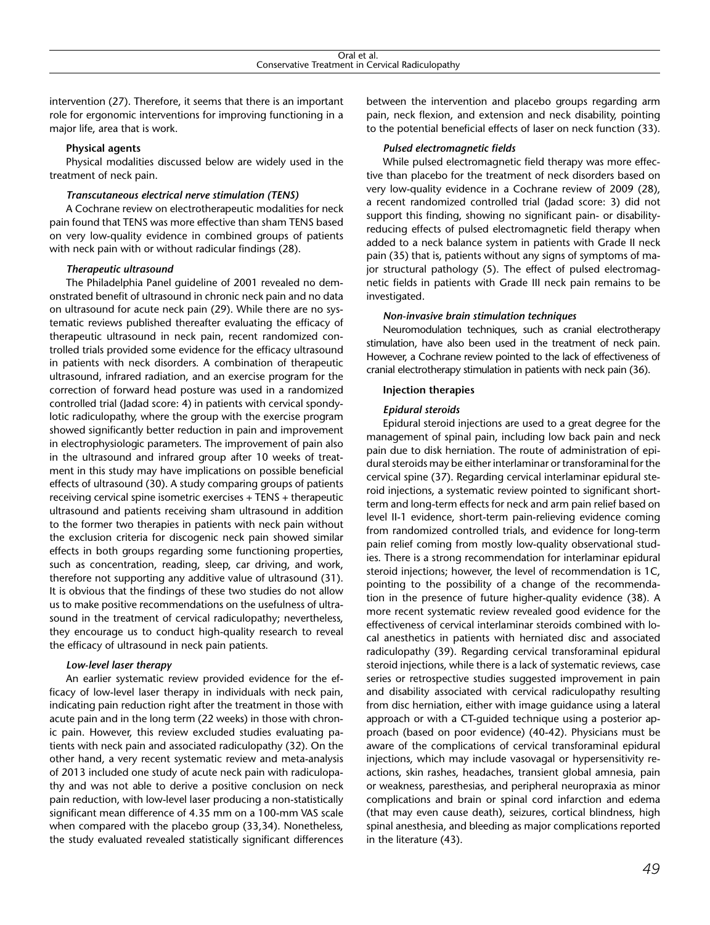intervention (27). Therefore, it seems that there is an important role for ergonomic interventions for improving functioning in a major life, area that is work.

#### **Physical agents**

Physical modalities discussed below are widely used in the treatment of neck pain.

#### *Transcutaneous electrical nerve stimulation (TENS)*

A Cochrane review on electrotherapeutic modalities for neck pain found that TENS was more effective than sham TENS based on very low-quality evidence in combined groups of patients with neck pain with or without radicular findings (28).

#### *Therapeutic ultrasound*

The Philadelphia Panel guideline of 2001 revealed no demonstrated benefit of ultrasound in chronic neck pain and no data on ultrasound for acute neck pain (29). While there are no systematic reviews published thereafter evaluating the efficacy of therapeutic ultrasound in neck pain, recent randomized controlled trials provided some evidence for the efficacy ultrasound in patients with neck disorders. A combination of therapeutic ultrasound, infrared radiation, and an exercise program for the correction of forward head posture was used in a randomized controlled trial (Jadad score: 4) in patients with cervical spondylotic radiculopathy, where the group with the exercise program showed significantly better reduction in pain and improvement in electrophysiologic parameters. The improvement of pain also in the ultrasound and infrared group after 10 weeks of treatment in this study may have implications on possible beneficial effects of ultrasound (30). A study comparing groups of patients receiving cervical spine isometric exercises + TENS + therapeutic ultrasound and patients receiving sham ultrasound in addition to the former two therapies in patients with neck pain without the exclusion criteria for discogenic neck pain showed similar effects in both groups regarding some functioning properties, such as concentration, reading, sleep, car driving, and work, therefore not supporting any additive value of ultrasound (31). It is obvious that the findings of these two studies do not allow us to make positive recommendations on the usefulness of ultrasound in the treatment of cervical radiculopathy; nevertheless, they encourage us to conduct high-quality research to reveal the efficacy of ultrasound in neck pain patients.

#### *Low-level laser therapy*

An earlier systematic review provided evidence for the efficacy of low-level laser therapy in individuals with neck pain, indicating pain reduction right after the treatment in those with acute pain and in the long term (22 weeks) in those with chronic pain. However, this review excluded studies evaluating patients with neck pain and associated radiculopathy (32). On the other hand, a very recent systematic review and meta-analysis of 2013 included one study of acute neck pain with radiculopathy and was not able to derive a positive conclusion on neck pain reduction, with low-level laser producing a non-statistically significant mean difference of 4.35 mm on a 100-mm VAS scale when compared with the placebo group (33,34). Nonetheless, the study evaluated revealed statistically significant differences

between the intervention and placebo groups regarding arm pain, neck flexion, and extension and neck disability, pointing to the potential beneficial effects of laser on neck function (33).

#### *Pulsed electromagnetic fields*

While pulsed electromagnetic field therapy was more effective than placebo for the treatment of neck disorders based on very low-quality evidence in a Cochrane review of 2009 (28), a recent randomized controlled trial (Jadad score: 3) did not support this finding, showing no significant pain- or disabilityreducing effects of pulsed electromagnetic field therapy when added to a neck balance system in patients with Grade II neck pain (35) that is, patients without any signs of symptoms of major structural pathology (5). The effect of pulsed electromagnetic fields in patients with Grade III neck pain remains to be investigated.

#### *Non-invasive brain stimulation techniques*

Neuromodulation techniques, such as cranial electrotherapy stimulation, have also been used in the treatment of neck pain. However, a Cochrane review pointed to the lack of effectiveness of cranial electrotherapy stimulation in patients with neck pain (36).

#### **Injection therapies**

#### *Epidural steroids*

Epidural steroid injections are used to a great degree for the management of spinal pain, including low back pain and neck pain due to disk herniation. The route of administration of epidural steroids may be either interlaminar or transforaminal for the cervical spine (37). Regarding cervical interlaminar epidural steroid injections, a systematic review pointed to significant shortterm and long-term effects for neck and arm pain relief based on level II-1 evidence, short-term pain-relieving evidence coming from randomized controlled trials, and evidence for long-term pain relief coming from mostly low-quality observational studies. There is a strong recommendation for interlaminar epidural steroid injections; however, the level of recommendation is 1C, pointing to the possibility of a change of the recommendation in the presence of future higher-quality evidence (38). A more recent systematic review revealed good evidence for the effectiveness of cervical interlaminar steroids combined with local anesthetics in patients with herniated disc and associated radiculopathy (39). Regarding cervical transforaminal epidural steroid injections, while there is a lack of systematic reviews, case series or retrospective studies suggested improvement in pain and disability associated with cervical radiculopathy resulting from disc herniation, either with image guidance using a lateral approach or with a CT-guided technique using a posterior approach (based on poor evidence) (40-42). Physicians must be aware of the complications of cervical transforaminal epidural injections, which may include vasovagal or hypersensitivity reactions, skin rashes, headaches, transient global amnesia, pain or weakness, paresthesias, and peripheral neuropraxia as minor complications and brain or spinal cord infarction and edema (that may even cause death), seizures, cortical blindness, high spinal anesthesia, and bleeding as major complications reported in the literature (43).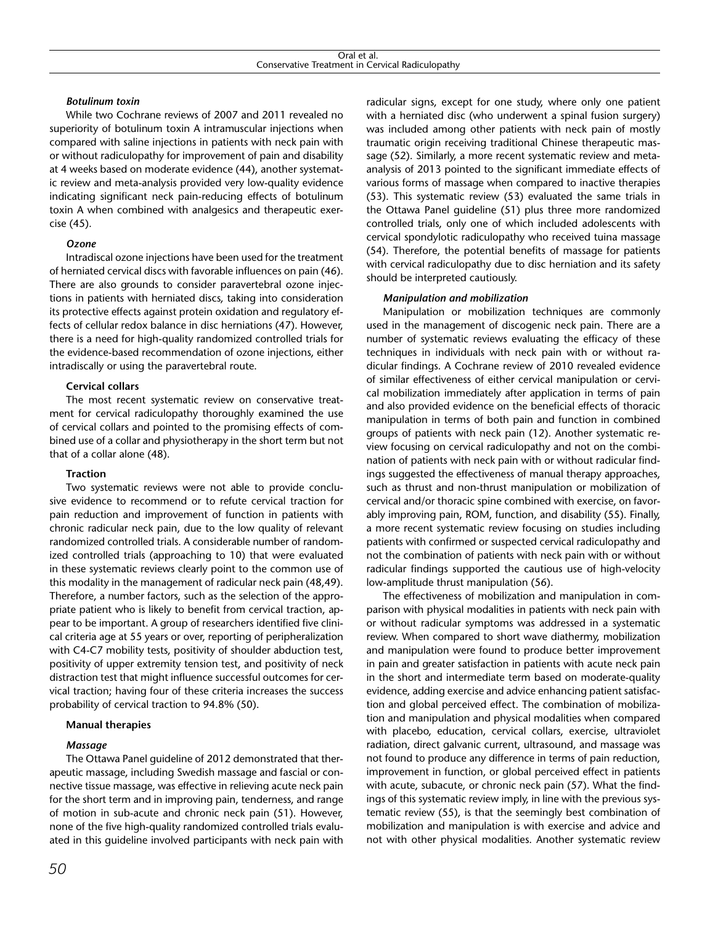# *Botulinum toxin*

While two Cochrane reviews of 2007 and 2011 revealed no superiority of botulinum toxin A intramuscular injections when compared with saline injections in patients with neck pain with or without radiculopathy for improvement of pain and disability at 4 weeks based on moderate evidence (44), another systematic review and meta-analysis provided very low-quality evidence indicating significant neck pain-reducing effects of botulinum toxin A when combined with analgesics and therapeutic exercise (45).

## *Ozone*

Intradiscal ozone injections have been used for the treatment of herniated cervical discs with favorable influences on pain (46). There are also grounds to consider paravertebral ozone injections in patients with herniated discs, taking into consideration its protective effects against protein oxidation and regulatory effects of cellular redox balance in disc herniations (47). However, there is a need for high-quality randomized controlled trials for the evidence-based recommendation of ozone injections, either intradiscally or using the paravertebral route.

# **Cervical collars**

The most recent systematic review on conservative treatment for cervical radiculopathy thoroughly examined the use of cervical collars and pointed to the promising effects of combined use of a collar and physiotherapy in the short term but not that of a collar alone (48).

# **Traction**

Two systematic reviews were not able to provide conclusive evidence to recommend or to refute cervical traction for pain reduction and improvement of function in patients with chronic radicular neck pain, due to the low quality of relevant randomized controlled trials. A considerable number of randomized controlled trials (approaching to 10) that were evaluated in these systematic reviews clearly point to the common use of this modality in the management of radicular neck pain (48,49). Therefore, a number factors, such as the selection of the appropriate patient who is likely to benefit from cervical traction, appear to be important. A group of researchers identified five clinical criteria age at 55 years or over, reporting of peripheralization with C4-C7 mobility tests, positivity of shoulder abduction test, positivity of upper extremity tension test, and positivity of neck distraction test that might influence successful outcomes for cervical traction; having four of these criteria increases the success probability of cervical traction to 94.8% (50).

# **Manual therapies**

# *Massage*

The Ottawa Panel guideline of 2012 demonstrated that therapeutic massage, including Swedish massage and fascial or connective tissue massage, was effective in relieving acute neck pain for the short term and in improving pain, tenderness, and range of motion in sub-acute and chronic neck pain (51). However, none of the five high-quality randomized controlled trials evaluated in this guideline involved participants with neck pain with

radicular signs, except for one study, where only one patient with a herniated disc (who underwent a spinal fusion surgery) was included among other patients with neck pain of mostly traumatic origin receiving traditional Chinese therapeutic massage (52). Similarly, a more recent systematic review and metaanalysis of 2013 pointed to the significant immediate effects of various forms of massage when compared to inactive therapies (53). This systematic review (53) evaluated the same trials in the Ottawa Panel guideline (51) plus three more randomized controlled trials, only one of which included adolescents with cervical spondylotic radiculopathy who received tuina massage (54). Therefore, the potential benefits of massage for patients with cervical radiculopathy due to disc herniation and its safety should be interpreted cautiously.

# *Manipulation and mobilization*

Manipulation or mobilization techniques are commonly used in the management of discogenic neck pain. There are a number of systematic reviews evaluating the efficacy of these techniques in individuals with neck pain with or without radicular findings. A Cochrane review of 2010 revealed evidence of similar effectiveness of either cervical manipulation or cervical mobilization immediately after application in terms of pain and also provided evidence on the beneficial effects of thoracic manipulation in terms of both pain and function in combined groups of patients with neck pain (12). Another systematic review focusing on cervical radiculopathy and not on the combination of patients with neck pain with or without radicular findings suggested the effectiveness of manual therapy approaches, such as thrust and non-thrust manipulation or mobilization of cervical and/or thoracic spine combined with exercise, on favorably improving pain, ROM, function, and disability (55). Finally, a more recent systematic review focusing on studies including patients with confirmed or suspected cervical radiculopathy and not the combination of patients with neck pain with or without radicular findings supported the cautious use of high-velocity low-amplitude thrust manipulation (56).

The effectiveness of mobilization and manipulation in comparison with physical modalities in patients with neck pain with or without radicular symptoms was addressed in a systematic review. When compared to short wave diathermy, mobilization and manipulation were found to produce better improvement in pain and greater satisfaction in patients with acute neck pain in the short and intermediate term based on moderate-quality evidence, adding exercise and advice enhancing patient satisfaction and global perceived effect. The combination of mobilization and manipulation and physical modalities when compared with placebo, education, cervical collars, exercise, ultraviolet radiation, direct galvanic current, ultrasound, and massage was not found to produce any difference in terms of pain reduction, improvement in function, or global perceived effect in patients with acute, subacute, or chronic neck pain (57). What the findings of this systematic review imply, in line with the previous systematic review (55), is that the seemingly best combination of mobilization and manipulation is with exercise and advice and not with other physical modalities. Another systematic review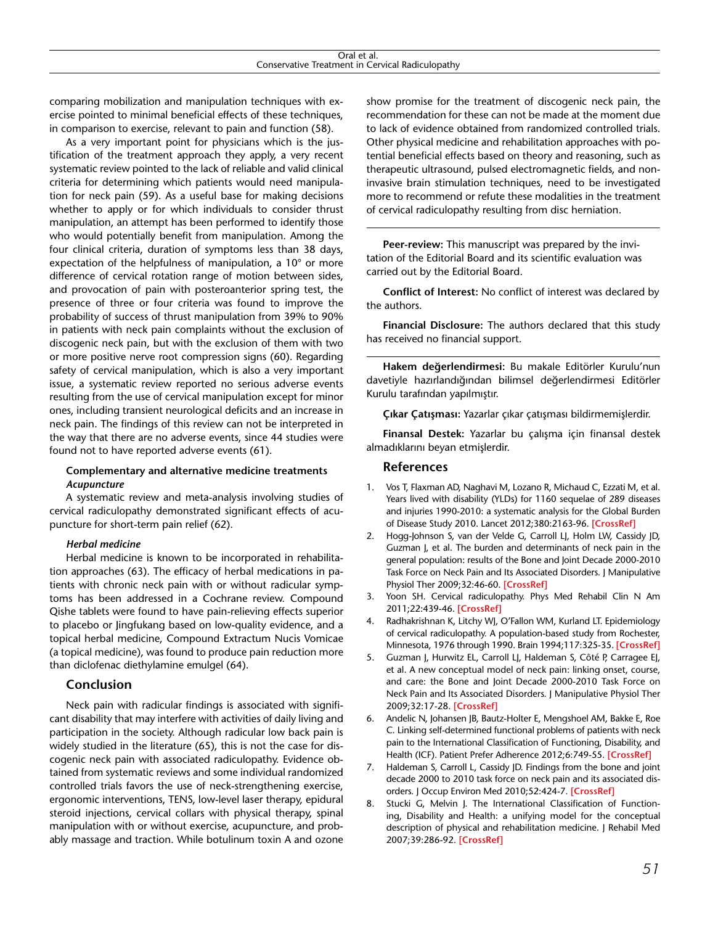| Oral et al.                                      |  |
|--------------------------------------------------|--|
| Conservative Treatment in Cervical Radiculopathy |  |

comparing mobilization and manipulation techniques with exercise pointed to minimal beneficial effects of these techniques, in comparison to exercise, relevant to pain and function (58).

As a very important point for physicians which is the justification of the treatment approach they apply, a very recent systematic review pointed to the lack of reliable and valid clinical criteria for determining which patients would need manipulation for neck pain (59). As a useful base for making decisions whether to apply or for which individuals to consider thrust manipulation, an attempt has been performed to identify those who would potentially benefit from manipulation. Among the four clinical criteria, duration of symptoms less than 38 days, expectation of the helpfulness of manipulation, a 10° or more difference of cervical rotation range of motion between sides, and provocation of pain with posteroanterior spring test, the presence of three or four criteria was found to improve the probability of success of thrust manipulation from 39% to 90% in patients with neck pain complaints without the exclusion of discogenic neck pain, but with the exclusion of them with two or more positive nerve root compression signs (60). Regarding safety of cervical manipulation, which is also a very important issue, a systematic review reported no serious adverse events resulting from the use of cervical manipulation except for minor ones, including transient neurological deficits and an increase in neck pain. The findings of this review can not be interpreted in the way that there are no adverse events, since 44 studies were found not to have reported adverse events (61).

# **Complementary and alternative medicine treatments** *Acupuncture*

A systematic review and meta-analysis involving studies of cervical radiculopathy demonstrated significant effects of acupuncture for short-term pain relief (62).

## *Herbal medicine*

Herbal medicine is known to be incorporated in rehabilitation approaches (63). The efficacy of herbal medications in patients with chronic neck pain with or without radicular symptoms has been addressed in a Cochrane review. Compound Qishe tablets were found to have pain-relieving effects superior to placebo or Jingfukang based on low-quality evidence, and a topical herbal medicine, Compound Extractum Nucis Vomicae (a topical medicine), was found to produce pain reduction more than diclofenac diethylamine emulgel (64).

## **Conclusion**

Neck pain with radicular findings is associated with significant disability that may interfere with activities of daily living and participation in the society. Although radicular low back pain is widely studied in the literature (65), this is not the case for discogenic neck pain with associated radiculopathy. Evidence obtained from systematic reviews and some individual randomized controlled trials favors the use of neck-strengthening exercise, ergonomic interventions, TENS, low-level laser therapy, epidural steroid injections, cervical collars with physical therapy, spinal manipulation with or without exercise, acupuncture, and probably massage and traction. While botulinum toxin A and ozone

show promise for the treatment of discogenic neck pain, the recommendation for these can not be made at the moment due to lack of evidence obtained from randomized controlled trials. Other physical medicine and rehabilitation approaches with potential beneficial effects based on theory and reasoning, such as therapeutic ultrasound, pulsed electromagnetic fields, and noninvasive brain stimulation techniques, need to be investigated more to recommend or refute these modalities in the treatment of cervical radiculopathy resulting from disc herniation.

**Peer-review:** This manuscript was prepared by the invitation of the Editorial Board and its scientific evaluation was carried out by the Editorial Board.

**Conflict of Interest:** No conflict of interest was declared by the authors.

**Financial Disclosure:** The authors declared that this study has received no financial support.

**Hakem değerlendirmesi:** Bu makale Editörler Kurulu'nun davetiyle hazırlandığından bilimsel değerlendirmesi Editörler Kurulu tarafından yapılmıştır.

**Çıkar Çatışması:** Yazarlar çıkar çatışması bildirmemişlerdir.

**Finansal Destek:** Yazarlar bu çalışma için finansal destek almadıklarını beyan etmişlerdir.

# **References**

- 1. Vos T, Flaxman AD, Naghavi M, Lozano R, Michaud C, Ezzati M, et al. Years lived with disability (YLDs) for 1160 sequelae of 289 diseases and injuries 1990-2010: a systematic analysis for the Global Burden of Disease Study 2010. Lancet [2012;380:2163-96.](http://dx.doi.org/10.1016/S0140-6736%2812%2961729-2) **[CrossRef]**
- 2. Hogg-Johnson S, van der Velde G, Carroll LJ, Holm LW, Cassidy JD, Guzman J, et al. The burden and determinants of neck pain in the general population: results of the Bone and Joint Decade 2000-2010 Task Force on Neck Pain and Its Associated Disorders. J Manipulative [Physiol Ther 2009;32:46-60.](http://dx.doi.org/10.1016/j.jmpt.2008.11.010) **[CrossRef]**
- 3. Yoon SH. Cervical radiculopathy. Phys Med Rehabil Clin N Am [2011;22:439-46.](http://dx.doi.org/10.1016/j.pmr.2011.02.013) **[CrossRef]**
- 4. Radhakrishnan K, Litchy WJ, O'Fallon WM, Kurland LT. Epidemiology of cervical radiculopathy. A population-based study from Rochester, Minnesota, 1976 through 1990. Brain [1994;117:325-35.](http://dx.doi.org/10.1093/brain/117.2.325) **[CrossRef]**
- 5. Guzman J, Hurwitz EL, Carroll LJ, Haldeman S, Côté P, Carragee EJ, et al. A new conceptual model of neck pain: linking onset, course, and care: the Bone and Joint Decade 2000-2010 Task Force on Neck Pain and Its Associated Disorders. J Manipulative Physiol Ther [2009;32:17-28.](http://dx.doi.org/10.1016/j.jmpt.2008.11.023) **[CrossRef]**
- 6. Andelic N, Johansen JB, Bautz-Holter E, Mengshoel AM, Bakke E, Roe C. Linking self-determined functional problems of patients with neck pain to the International Classification of Functioning, Disability, and Health (ICF). Patient Prefer Adherence [2012;6:749-55.](http://dx.doi.org/10.2147/PPA.S36165) **[CrossRef]**
- 7. Haldeman S, Carroll L, Cassidy JD. Findings from the bone and joint decade 2000 to 2010 task force on neck pain and its associated disorders. J Occup Environ Med [2010;52:424-7.](http://dx.doi.org/10.1097/JOM.0b013e3181d44f3b) **[CrossRef]**
- 8. Stucki G, Melvin J. The International Classification of Functioning, Disability and Health: a unifying model for the conceptual description of physical and rehabilitation medicine. J Rehabil Med [2007;39:286-92.](http://dx.doi.org/10.2340/16501977-0044) **[CrossRef]**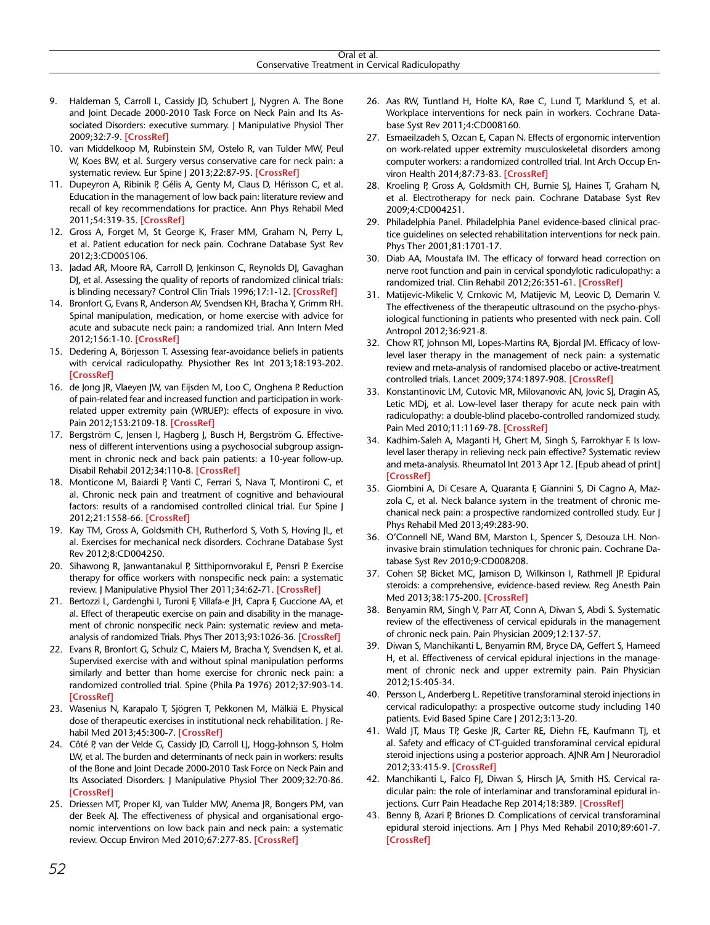- 9. Haldeman S, Carroll L, Cassidy JD, Schubert J, Nygren A. The Bone and Joint Decade 2000-2010 Task Force on Neck Pain and Its Associated Disorders: executive summary. J Manipulative Physiol Ther [2009;32:7-9.](http://dx.doi.org/10.1016/j.jmpt.2008.11.005) **[CrossRef]**
- 10. van Middelkoop M, Rubinstein SM, Ostelo R, van Tulder MW, Peul W. Koes BW, et al. Surgery versus conservative care for neck pain: a systematic review. Eur Spine J [2013;22:87-95.](http://dx.doi.org/10.1007/s00586-012-2553-z) **[CrossRef]**
- 11. Dupeyron A, Ribinik P, Gélis A, Genty M, Claus D, Hérisson C, et al. Education in the management of low back pain: literature review and recall of key recommendations for practice. Ann Phys Rehabil Med [2011;54:319-35.](http://dx.doi.org/10.1016/j.rehab.2011.06.001) **[CrossRef]**
- 12. Gross A, Forget M, St George K, Fraser MM, Graham N, Perry L, et al. Patient education for neck pain. Cochrane Database Syst Rev 2012;3:CD005106.
- 13. Jadad AR, Moore RA, Carroll D, Jenkinson C, Reynolds DJ, Gavaghan DJ, et al. Assessing the quality of reports of randomized clinical trials: is blinding necessary? Control Clin Trials [1996;17:1-12.](http://dx.doi.org/10.1016/0197-2456%2895%2900134-4) **[CrossRef]**
- 14. Bronfort G, Evans R, Anderson AV, Svendsen KH, Bracha Y, Grimm RH. Spinal manipulation, medication, or home exercise with advice for acute and subacute neck pain: a randomized trial. Ann Intern Med [2012;156:1-10.](http://dx.doi.org/10.7326/0003-4819-156-1-201201030-00002) **[CrossRef]**
- 15. Dedering A, Börjesson T. Assessing fear-avoidance beliefs in patients with cervical radiculopathy. Physiother Res Int 2013;18:193-202. **[\[CrossRef\]](http://dx.doi.org/10.1002/pri.1545)**
- 16. de Jong JR, Vlaeyen JW, van Eijsden M, Loo C, Onghena P. Reduction of pain-related fear and increased function and participation in workrelated upper extremity pain (WRUEP): effects of exposure in vivo. [Pain 2012;153:2109-18.](http://dx.doi.org/10.1016/j.pain.2012.07.001) **[CrossRef]**
- 17. Bergström C, Jensen I, Hagberg J, Busch H, Bergström G. Effectiveness of different interventions using a psychosocial subgroup assignment in chronic neck and back pain patients: a 10-year follow-up. Disabil Rehabil [2012;34:110-8.](http://dx.doi.org/10.3109/09638288.2011.607218) **[CrossRef]**
- 18. Monticone M, Baiardi P, Vanti C, Ferrari S, Nava T, Montironi C, et al. Chronic neck pain and treatment of cognitive and behavioural factors: results of a randomised controlled clinical trial. Eur Spine J [2012;21:1558-66.](http://dx.doi.org/10.1007/s00586-012-2287-y) **[CrossRef]**
- 19. Kay TM, Gross A, Goldsmith CH, Rutherford S, Voth S, Hoving JL, et al. Exercises for mechanical neck disorders. Cochrane Database Syst Rev 2012;8:CD004250.
- 20. Sihawong R, Janwantanakul P, Sitthipornvorakul E, Pensri P. Exercise therapy for office workers with nonspecific neck pain: a systematic review. J Manipulative Physiol Ther [2011;34:62-71.](http://dx.doi.org/10.1016/j.jmpt.2010.11.005) **[CrossRef]**
- 21. Bertozzi L, Gardenghi I, Turoni F, Villafa-e JH, Capra F, Guccione AA, et al. Effect of therapeutic exercise on pain and disability in the management of chronic nonspecific neck Pain: systematic review and metaanalysis of randomized Trials. Phys Ther [2013;93:1026-36.](http://dx.doi.org/10.2522/ptj.20120412) **[CrossRef]**
- 22. Evans R, Bronfort G, Schulz C, Maiers M, Bracha Y, Svendsen K, et al. Supervised exercise with and without spinal manipulation performs similarly and better than home exercise for chronic neck pain: a randomized controlled trial. Spine (Phila Pa 1976) 2012;37:903-14. **[\[CrossRef\]](http://dx.doi.org/10.1097/BRS.0b013e31823b3bdf)**
- 23. Wasenius N, Karapalo T, Sjögren T, Pekkonen M, Mälkiä E. Physical dose of therapeutic exercises in institutional neck rehabilitation. J Rehabil Med [2013;45:300-7.](http://dx.doi.org/10.2340/16501977-1118) **[CrossRef]**
- 24. Côté P, van der Velde G, Cassidy JD, Carroll LJ, Hogg-Johnson S, Holm LW, et al. The burden and determinants of neck pain in workers: results of the Bone and Joint Decade 2000-2010 Task Force on Neck Pain and Its Associated Disorders. J Manipulative Physiol Ther 2009;32:70-86. **[\[CrossRef\]](http://dx.doi.org/10.1016/j.jmpt.2008.11.012)**
- 25. Driessen MT, Proper KI, van Tulder MW, Anema JR, Bongers PM, van der Beek AJ. The effectiveness of physical and organisational ergonomic interventions on low back pain and neck pain: a systematic review. Occup Environ Med [2010;67:277-85.](http://dx.doi.org/10.1136/oem.2009.047548) **[CrossRef]**
- 26. Aas RW, Tuntland H, Holte KA, Røe C, Lund T, Marklund S, et al. Workplace interventions for neck pain in workers. Cochrane Database Syst Rev 2011;4:CD008160.
- 27. Esmaeilzadeh S, Ozcan E, Capan N. Effects of ergonomic intervention on work-related upper extremity musculoskeletal disorders among computer workers: a randomized controlled trial. Int Arch Occup Environ Health [2014;87:73-83.](http://dx.doi.org/10.1007/s00420-012-0838-5) **[CrossRef]**
- 28. Kroeling P, Gross A, Goldsmith CH, Burnie SJ, Haines T, Graham N, et al. Electrotherapy for neck pain. Cochrane Database Syst Rev 2009;4:CD004251.
- 29. Philadelphia Panel. Philadelphia Panel evidence-based clinical practice guidelines on selected rehabilitation interventions for neck pain. Phys Ther 2001;81:1701-17.
- 30. Diab AA, Moustafa IM. The efficacy of forward head correction on nerve root function and pain in cervical spondylotic radiculopathy: a randomized trial. Clin Rehabil [2012;26:351-61.](http://dx.doi.org/10.1177/0269215511419536) **[CrossRef]**
- 31. Matijevic-Mikelic V, Crnkovic M, Matijevic M, Leovic D, Demarin V. The effectiveness of the therapeutic ultrasound on the psycho-physiological functioning in patients who presented with neck pain. Coll Antropol 2012;36:921-8.
- 32. Chow RT, Johnson MI, Lopes-Martins RA, Bjordal JM. Efficacy of lowlevel laser therapy in the management of neck pain: a systematic review and meta-analysis of randomised placebo or active-treatment controlled trials. Lancet [2009;374:1897-908.](http://dx.doi.org/10.1016/S0140-6736%2809%2961522-1) **[CrossRef]**
- 33. Konstantinovic LM, Cutovic MR, Milovanovic AN, Jovic SJ, Dragin AS, Letic MDj, et al. Low-level laser therapy for acute neck pain with radiculopathy: a double-blind placebo-controlled randomized study. Pain Me[d 2010;11:1169-78.](http://dx.doi.org/10.1111/j.1526-4637.2010.00907.x) **[CrossRef]**
- 34. Kadhim-Saleh A, Maganti H, Ghert M, Singh S, Farrokhyar F. Is lowlevel laser therapy in relieving neck pain effective? Systematic review and meta-analysis. Rheumatol Int 2013 Apr 12. [Epub ahead of print] **[\[CrossRef\]](http://dx.doi.org/10.1007/s00296-013-2742-z)**
- 35. Giombini A, Di Cesare A, Quaranta F, Giannini S, Di Cagno A, Mazzola C, et al. Neck balance system in the treatment of chronic mechanical neck pain: a prospective randomized controlled study. Eur J Phys Rehabil Med 2013;49:283-90.
- 36. O'Connell NE, Wand BM, Marston L, Spencer S, Desouza LH. Noninvasive brain stimulation techniques for chronic pain. Cochrane Database Syst Rev 2010;9:CD008208.
- 37. Cohen SP, Bicket MC, Jamison D, Wilkinson I, Rathmell JP. Epidural steroids: a comprehensive, evidence-based review. Reg Anesth Pain [Med 2013;38:175-200.](http://dx.doi.org/10.1097/AAP.0b013e31828ea086) **[CrossRef]**
- 38. Benyamin RM, Singh V, Parr AT, Conn A, Diwan S, Abdi S. Systematic review of the effectiveness of cervical epidurals in the management of chronic neck pain. Pain Physician 2009;12:137-57.
- 39. Diwan S, Manchikanti L, Benyamin RM, Bryce DA, Geffert S, Hameed H, et al. Effectiveness of cervical epidural injections in the management of chronic neck and upper extremity pain. Pain Physician 2012;15:405-34.
- 40. Persson L, Anderberg L. Repetitive transforaminal steroid injections in cervical radiculopathy: a prospective outcome study including 140 patients. Evid Based Spine Care J 2012;3:13-20.
- 41. Wald JT, Maus TP, Geske JR, Carter RE, Diehn FE, Kaufmann TJ, et al. Safety and efficacy of CT-guided transforaminal cervical epidural steroid injections using a posterior approach. AJNR Am J Neuroradiol [2012;33:415-9.](http://dx.doi.org/10.3174/ajnr.A2835) **[CrossRef]**
- 42. Manchikanti L, Falco FJ, Diwan S, Hirsch JA, Smith HS. Cervical radicular pain: the role of interlaminar and transforaminal epidural injections. Curr Pain Headache [Rep 2014;18:389.](http://dx.doi.org/10.1007/s11916-013-0389-9) **[CrossRef]**
- 43. Benny B, Azari P, Briones D. Complications of cervical transforaminal [epidural steroid injections. Am J Phys Med Rehabil 2010;89:601-7.](http://dx.doi.org/10.1097/PHM.0b013e3181e2d07c)  **[\[CrossRef\]](http://dx.doi.org/10.1097/PHM.0b013e3181e2d07c)**